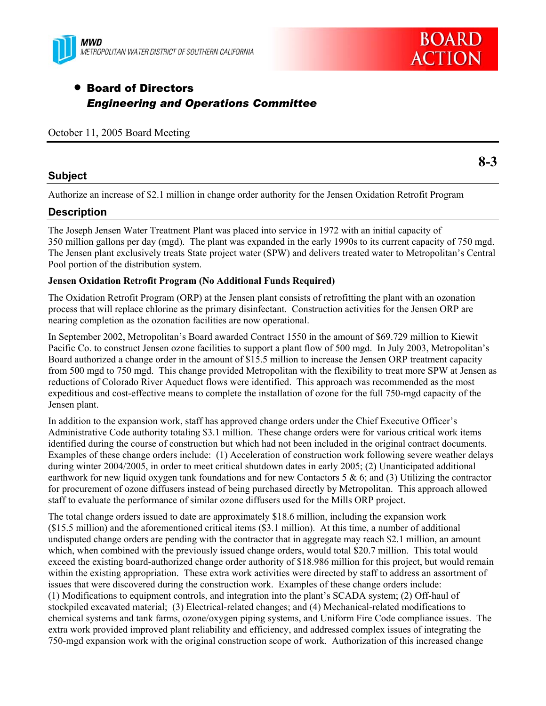



**8-3** 

# • Board of Directors *Engineering and Operations Committee*

|  |  |  |  | October 11, 2005 Board Meeting |
|--|--|--|--|--------------------------------|
|--|--|--|--|--------------------------------|

### **Subject**

Authorize an increase of \$2.1 million in change order authority for the Jensen Oxidation Retrofit Program

### **Description**

The Joseph Jensen Water Treatment Plant was placed into service in 1972 with an initial capacity of 350 million gallons per day (mgd). The plant was expanded in the early 1990s to its current capacity of 750 mgd. The Jensen plant exclusively treats State project water (SPW) and delivers treated water to Metropolitan's Central Pool portion of the distribution system.

#### **Jensen Oxidation Retrofit Program (No Additional Funds Required)**

The Oxidation Retrofit Program (ORP) at the Jensen plant consists of retrofitting the plant with an ozonation process that will replace chlorine as the primary disinfectant. Construction activities for the Jensen ORP are nearing completion as the ozonation facilities are now operational.

In September 2002, Metropolitan's Board awarded Contract 1550 in the amount of \$69.729 million to Kiewit Pacific Co. to construct Jensen ozone facilities to support a plant flow of 500 mgd. In July 2003, Metropolitan's Board authorized a change order in the amount of \$15.5 million to increase the Jensen ORP treatment capacity from 500 mgd to 750 mgd. This change provided Metropolitan with the flexibility to treat more SPW at Jensen as reductions of Colorado River Aqueduct flows were identified. This approach was recommended as the most expeditious and cost-effective means to complete the installation of ozone for the full 750-mgd capacity of the Jensen plant.

In addition to the expansion work, staff has approved change orders under the Chief Executive Officer's Administrative Code authority totaling \$3.1 million. These change orders were for various critical work items identified during the course of construction but which had not been included in the original contract documents. Examples of these change orders include: (1) Acceleration of construction work following severe weather delays during winter 2004/2005, in order to meet critical shutdown dates in early 2005; (2) Unanticipated additional earthwork for new liquid oxygen tank foundations and for new Contactors 5 & 6; and (3) Utilizing the contractor for procurement of ozone diffusers instead of being purchased directly by Metropolitan. This approach allowed staff to evaluate the performance of similar ozone diffusers used for the Mills ORP project.

The total change orders issued to date are approximately \$18.6 million, including the expansion work (\$15.5 million) and the aforementioned critical items (\$3.1 million). At this time, a number of additional undisputed change orders are pending with the contractor that in aggregate may reach \$2.1 million, an amount which, when combined with the previously issued change orders, would total \$20.7 million. This total would exceed the existing board-authorized change order authority of \$18.986 million for this project, but would remain within the existing appropriation. These extra work activities were directed by staff to address an assortment of issues that were discovered during the construction work. Examples of these change orders include: (1) Modifications to equipment controls, and integration into the plant's SCADA system; (2) Off-haul of stockpiled excavated material; (3) Electrical-related changes; and (4) Mechanical-related modifications to chemical systems and tank farms, ozone/oxygen piping systems, and Uniform Fire Code compliance issues. The extra work provided improved plant reliability and efficiency, and addressed complex issues of integrating the 750-mgd expansion work with the original construction scope of work. Authorization of this increased change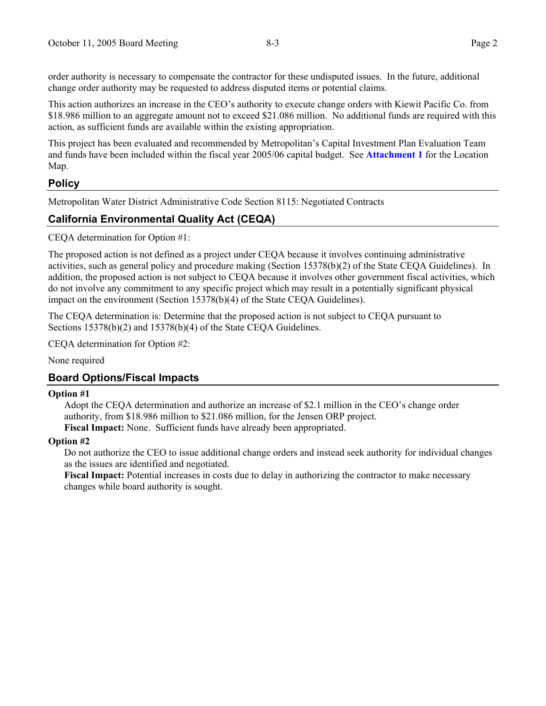order authority is necessary to compensate the contractor for these undisputed issues. In the future, additional change order authority may be requested to address disputed items or potential claims.

This action authorizes an increase in the CEO's authority to execute change orders with Kiewit Pacific Co. from \$18.986 million to an aggregate amount not to exceed \$21.086 million. No additional funds are required with this action, as sufficient funds are available within the existing appropriation.

This project has been evaluated and recommended by Metropolitan's Capital Investment Plan Evaluation Team and funds have been included within the fiscal year 2005/06 capital budget. See **Attachment 1** for the Location Map.

# **Policy**

Metropolitan Water District Administrative Code Section 8115: Negotiated Contracts

# **California Environmental Quality Act (CEQA)**

CEQA determination for Option #1:

The proposed action is not defined as a project under CEQA because it involves continuing administrative activities, such as general policy and procedure making (Section 15378(b)(2) of the State CEQA Guidelines). In addition, the proposed action is not subject to CEQA because it involves other government fiscal activities, which do not involve any commitment to any specific project which may result in a potentially significant physical impact on the environment (Section 15378(b)(4) of the State CEQA Guidelines).

The CEQA determination is: Determine that the proposed action is not subject to CEQA pursuant to Sections 15378(b)(2) and 15378(b)(4) of the State CEQA Guidelines.

CEQA determination for Option #2:

None required

### **Board Options/Fiscal Impacts**

#### **Option #1**

Adopt the CEQA determination and authorize an increase of \$2.1 million in the CEO's change order authority, from \$18.986 million to \$21.086 million, for the Jensen ORP project. **Fiscal Impact:** None. Sufficient funds have already been appropriated.

#### **Option #2**

Do not authorize the CEO to issue additional change orders and instead seek authority for individual changes as the issues are identified and negotiated.

Fiscal Impact: Potential increases in costs due to delay in authorizing the contractor to make necessary changes while board authority is sought.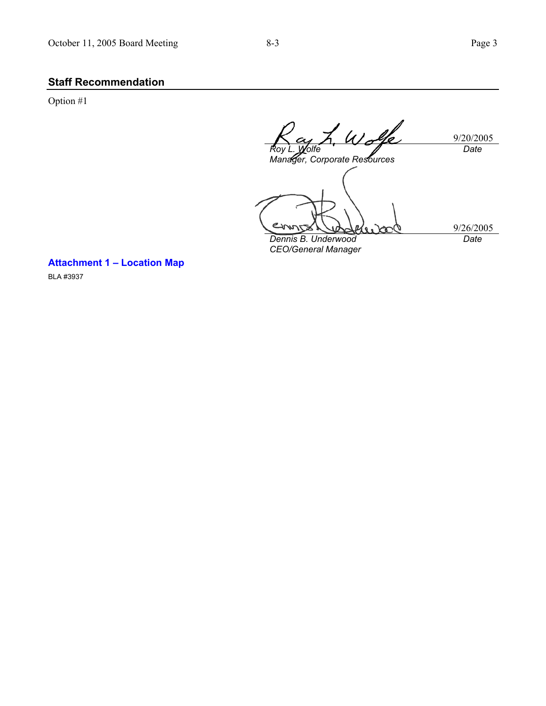# **Staff Recommendation**

Option #1

Wolfe 9/20/2005 *Date Roy L. Wolfe Manager, Corporate Resources*  حى 9/26/2005 *Dennis B. Underwood Date CEO/General Manager* 

**Attachment 1 – Location Map** 

BLA #3937